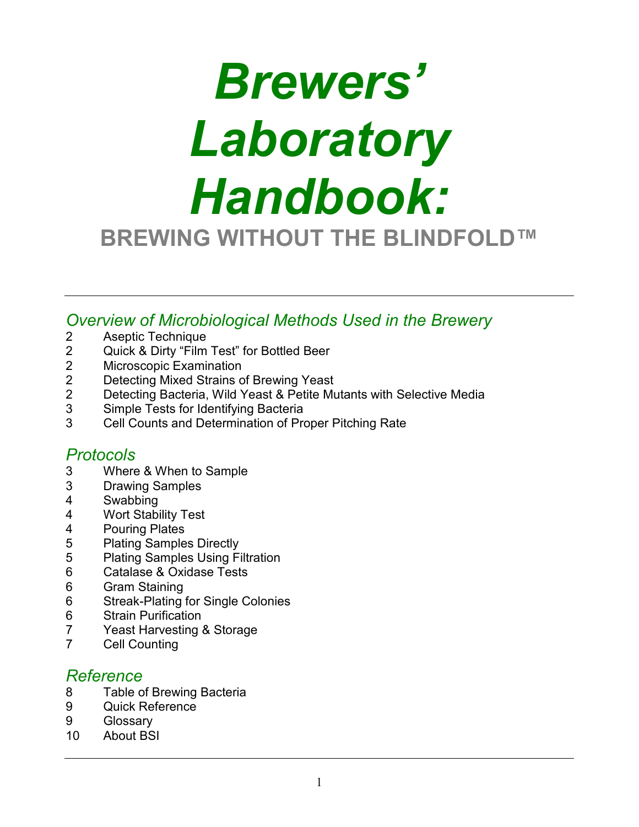# *Brewers' Laboratory Handbook:* **BREWING WITHOUT THE BLINDFOLD™**

*Overview of Microbiological Methods Used in the Brewery*

- 2 Aseptic Technique<br>2 Quick & Dirty "Film
- 2 Quick & Dirty "Film Test" for Bottled Beer<br>2 Microscopic Examination
- 2 Microscopic Examination<br>2 Detecting Mixed Strains of
- 2 Detecting Mixed Strains of Brewing Yeast<br>2 Detecting Bacteria Wild Yeast & Petite Mu
- 2 Detecting Bacteria, Wild Yeast & Petite Mutants with Selective Media<br>3 Simple Tests for Identifying Bacteria
- Simple Tests for Identifying Bacteria
- 3 Cell Counts and Determination of Proper Pitching Rate

# *Protocols*

- 3 Where & When to Sample
- 3 Drawing Samples
- 4 Swabbing
- 4 Wort Stability Test<br>4 Pouring Plates
- 4 Pouring Plates<br>5 Plating Sample
- 5 Plating Samples Directly<br>5 Plating Samples Using Fi
- 5 Plating Samples Using Filtration
- 6 Catalase & Oxidase Tests<br>6 Gram Staining
- 6 Gram Staining
- 6 Streak-Plating for Single Colonies<br>6 Strain Purification
- **Strain Purification**
- 7 Yeast Harvesting & Storage<br>7 Cell Counting
- **Cell Counting**

# *Reference*

- 8 Table of Brewing Bacteria
- 9 Quick Reference
- 9 Glossary
- 10 About BSI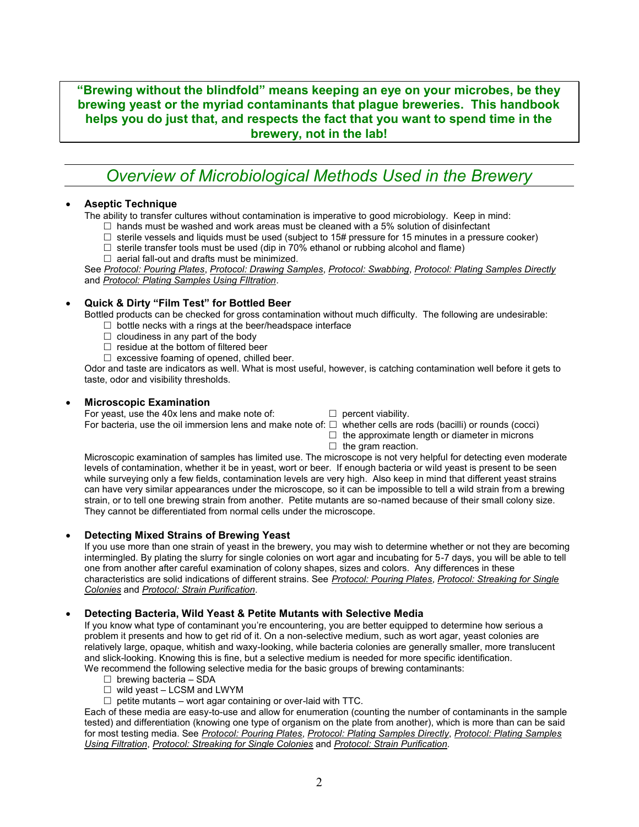**"Brewing without the blindfold" means keeping an eye on your microbes, be they brewing yeast or the myriad contaminants that plague breweries. This handbook helps you do just that, and respects the fact that you want to spend time in the brewery, not in the lab!**

# *Overview of Microbiological Methods Used in the Brewery*

#### **Aseptic Technique**

The ability to transfer cultures without contamination is imperative to good microbiology. Keep in mind:

- $\Box$  hands must be washed and work areas must be cleaned with a 5% solution of disinfectant
- $\Box$  sterile vessels and liquids must be used (subject to 15# pressure for 15 minutes in a pressure cooker)
- $\Box$  sterile transfer tools must be used (dip in 70% ethanol or rubbing alcohol and flame)
- $\Box$  aerial fall-out and drafts must be minimized.

See *Protocol: Pouring Plates*, *Protocol: Drawing Samples*, *Protocol: Swabbing*, *Protocol: Plating Samples Directly* and *Protocol: Plating Samples Using FIltration*.

#### **Quick & Dirty "Film Test" for Bottled Beer**

Bottled products can be checked for gross contamination without much difficulty. The following are undesirable:

- $\Box$  bottle necks with a rings at the beer/headspace interface
- $\Box$  cloudiness in any part of the body
- $\Box$  residue at the bottom of filtered beer
- $\Box$  excessive foaming of opened, chilled beer.

Odor and taste are indicators as well. What is most useful, however, is catching contamination well before it gets to taste, odor and visibility thresholds.

#### **Microscopic Examination**

For yeast, use the 40x lens and make note of:  $\Box$  percent viability.

For bacteria, use the oil immersion lens and make note of:  $\Box$  whether cells are rods (bacilli) or rounds (cocci)

- $\Box$  the approximate length or diameter in microns
- $\Box$  the gram reaction.

Microscopic examination of samples has limited use. The microscope is not very helpful for detecting even moderate levels of contamination, whether it be in yeast, wort or beer. If enough bacteria or wild yeast is present to be seen while surveying only a few fields, contamination levels are very high. Also keep in mind that different yeast strains can have very similar appearances under the microscope, so it can be impossible to tell a wild strain from a brewing strain, or to tell one brewing strain from another. Petite mutants are so-named because of their small colony size. They cannot be differentiated from normal cells under the microscope.

#### **Detecting Mixed Strains of Brewing Yeast**

If you use more than one strain of yeast in the brewery, you may wish to determine whether or not they are becoming intermingled. By plating the slurry for single colonies on wort agar and incubating for 5-7 days, you will be able to tell one from another after careful examination of colony shapes, sizes and colors. Any differences in these characteristics are solid indications of different strains. See *Protocol: Pouring Plates*, *Protocol: Streaking for Single Colonies* and *Protocol: Strain Purification.*

#### **Detecting Bacteria, Wild Yeast & Petite Mutants with Selective Media**

If you know what type of contaminant you're encountering, you are better equipped to determine how serious a problem it presents and how to get rid of it. On a non-selective medium, such as wort agar, yeast colonies are relatively large, opaque, whitish and waxy-looking, while bacteria colonies are generally smaller, more translucent and slick-looking. Knowing this is fine, but a selective medium is needed for more specific identification. We recommend the following selective media for the basic groups of brewing contaminants:

- $\Box$  brewing bacteria SDA
- $\Box$  wild yeast LCSM and LWYM
- $\Box$  petite mutants wort agar containing or over-laid with TTC.

Each of these media are easy-to-use and allow for enumeration (counting the number of contaminants in the sample tested) and differentiation (knowing one type of organism on the plate from another), which is more than can be said for most testing media. See *Protocol: Pouring Plates*, *Protocol: Plating Samples Directly*, *Protocol: Plating Samples Using Filtration*, *Protocol: Streaking for Single Colonies* and *Protocol: Strain Purification.*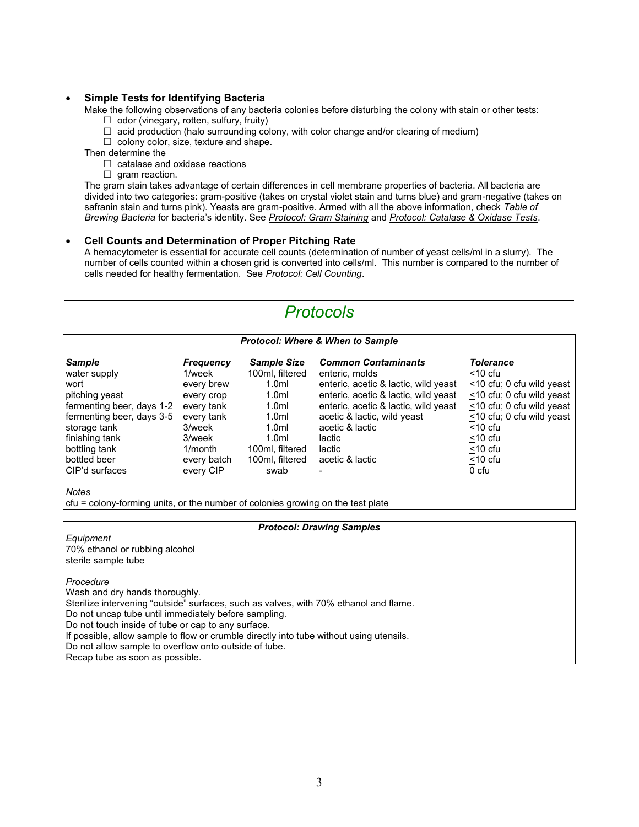#### **Simple Tests for Identifying Bacteria**

Make the following observations of any bacteria colonies before disturbing the colony with stain or other tests:

- $\Box$  odor (vinegary, rotten, sulfury, fruity)
- $\Box$  acid production (halo surrounding colony, with color change and/or clearing of medium)

 $\Box$  colony color, size, texture and shape.

Then determine the

- $\Box$  catalase and oxidase reactions
- $\Box$  gram reaction.

The gram stain takes advantage of certain differences in cell membrane properties of bacteria. All bacteria are divided into two categories: gram-positive (takes on crystal violet stain and turns blue) and gram-negative (takes on safranin stain and turns pink). Yeasts are gram-positive. Armed with all the above information, check *Table of Brewing Bacteria* for bacteria's identity. See *Protocol: Gram Staining* and *Protocol: Catalase & Oxidase Tests*.

#### **Cell Counts and Determination of Proper Pitching Rate**

A hemacytometer is essential for accurate cell counts (determination of number of yeast cells/ml in a slurry). The number of cells counted within a chosen grid is converted into cells/ml. This number is compared to the number of cells needed for healthy fermentation. See *Protocol: Cell Counting*.

# *Protocols*

#### *Protocol: Where & When to Sample*

| <b>Sample</b><br>water supply<br>wort<br>pitching yeast<br>fermenting beer, days 1-2<br>fermenting beer, days 3-5<br>storage tank<br>finishing tank<br>bottling tank<br>bottled beer<br>CIP'd surfaces | <b>Frequency</b><br>1/week<br>every brew<br>every crop<br>every tank<br>every tank<br>3/week<br>3/week<br>1/month<br>every batch<br>every CIP | <b>Sample Size</b><br>100ml, filtered<br>1.0 <sub>m</sub><br>1.0 <sub>m</sub><br>1.0 <sub>m</sub><br>1.0 <sub>m</sub><br>1.0 <sub>m</sub><br>1.0 <sub>m</sub><br>100ml, filtered<br>100ml, filtered<br>swab | <b>Common Contaminants</b><br>enteric, molds<br>enteric, acetic & lactic, wild yeast<br>enteric, acetic & lactic, wild yeast<br>enteric, acetic & lactic, wild yeast<br>acetic & lactic, wild yeast<br>acetic & lactic<br>lactic<br>lactic<br>acetic & lactic | <b>Tolerance</b><br>$<$ 10 cfu<br><10 cfu; 0 cfu wild yeast<br><10 cfu; 0 cfu wild yeast<br><10 cfu; 0 cfu wild yeast<br><10 cfu; 0 cfu wild yeast<br>$<$ 10 cfu<br>$<$ 10 cfu<br>$<$ 10 cfu<br>$<$ 10 cfu<br>0 cfu |
|--------------------------------------------------------------------------------------------------------------------------------------------------------------------------------------------------------|-----------------------------------------------------------------------------------------------------------------------------------------------|-------------------------------------------------------------------------------------------------------------------------------------------------------------------------------------------------------------|---------------------------------------------------------------------------------------------------------------------------------------------------------------------------------------------------------------------------------------------------------------|---------------------------------------------------------------------------------------------------------------------------------------------------------------------------------------------------------------------|
|--------------------------------------------------------------------------------------------------------------------------------------------------------------------------------------------------------|-----------------------------------------------------------------------------------------------------------------------------------------------|-------------------------------------------------------------------------------------------------------------------------------------------------------------------------------------------------------------|---------------------------------------------------------------------------------------------------------------------------------------------------------------------------------------------------------------------------------------------------------------|---------------------------------------------------------------------------------------------------------------------------------------------------------------------------------------------------------------------|

*Notes*

cfu = colony-forming units, or the number of colonies growing on the test plate

*Protocol: Drawing Samples*

*Equipment* 70% ethanol or rubbing alcohol sterile sample tube *Procedure* Wash and dry hands thoroughly. Sterilize intervening "outside" surfaces, such as valves, with 70% ethanol and flame. Do not uncap tube until immediately before sampling. Do not touch inside of tube or cap to any surface. If possible, allow sample to flow or crumble directly into tube without using utensils. Do not allow sample to overflow onto outside of tube. Recap tube as soon as possible.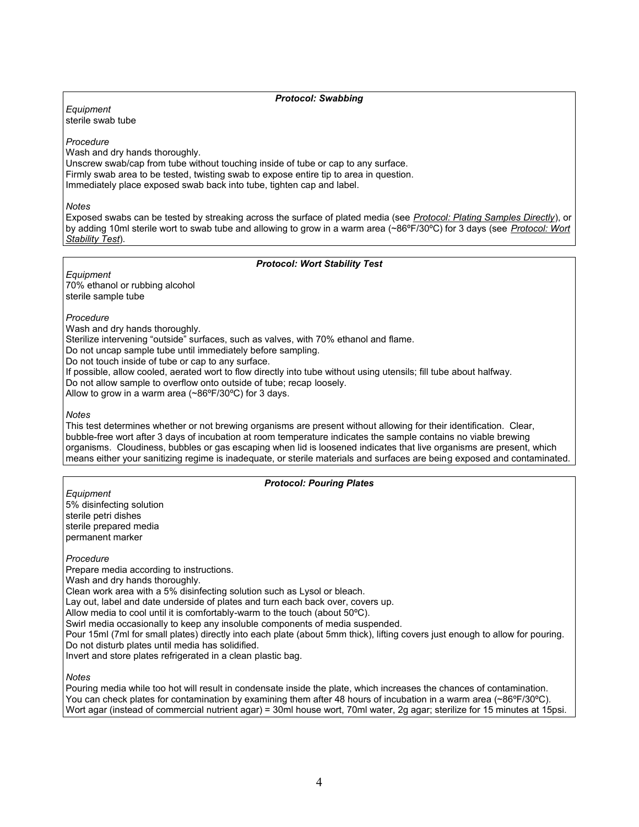#### *Protocol: Swabbing*

*Equipment* sterile swab tube

*Procedure*

Wash and dry hands thoroughly.

Unscrew swab/cap from tube without touching inside of tube or cap to any surface. Firmly swab area to be tested, twisting swab to expose entire tip to area in question. Immediately place exposed swab back into tube, tighten cap and label.

*Notes*

Exposed swabs can be tested by streaking across the surface of plated media (see *Protocol: Plating Samples Directly*), or by adding 10ml sterile wort to swab tube and allowing to grow in a warm area (~86ºF/30ºC) for 3 days (see *Protocol: Wort Stability Test*).

#### *Protocol: Wort Stability Test*

*Equipment* 70% ethanol or rubbing alcohol sterile sample tube

#### *Procedure*

Wash and dry hands thoroughly.

Sterilize intervening "outside" surfaces, such as valves, with 70% ethanol and flame.

Do not uncap sample tube until immediately before sampling.

Do not touch inside of tube or cap to any surface.

If possible, allow cooled, aerated wort to flow directly into tube without using utensils; fill tube about halfway.

Do not allow sample to overflow onto outside of tube; recap loosely.

Allow to grow in a warm area (~86ºF/30ºC) for 3 days.

#### *Notes*

This test determines whether or not brewing organisms are present without allowing for their identification. Clear, bubble-free wort after 3 days of incubation at room temperature indicates the sample contains no viable brewing organisms. Cloudiness, bubbles or gas escaping when lid is loosened indicates that live organisms are present, which means either your sanitizing regime is inadequate, or sterile materials and surfaces are being exposed and contaminated.

#### *Protocol: Pouring Plates*

*Equipment* 5% disinfecting solution sterile petri dishes sterile prepared media permanent marker

*Procedure*

Prepare media according to instructions. Wash and dry hands thoroughly. Clean work area with a 5% disinfecting solution such as Lysol or bleach. Lay out, label and date underside of plates and turn each back over, covers up. Allow media to cool until it is comfortably-warm to the touch (about 50ºC). Swirl media occasionally to keep any insoluble components of media suspended. Pour 15ml (7ml for small plates) directly into each plate (about 5mm thick), lifting covers just enough to allow for pouring. Do not disturb plates until media has solidified. Invert and store plates refrigerated in a clean plastic bag.

#### *Notes*

Pouring media while too hot will result in condensate inside the plate, which increases the chances of contamination. You can check plates for contamination by examining them after 48 hours of incubation in a warm area (~86°F/30°C). Wort agar (instead of commercial nutrient agar) = 30ml house wort, 70ml water, 2g agar; sterilize for 15 minutes at 15psi.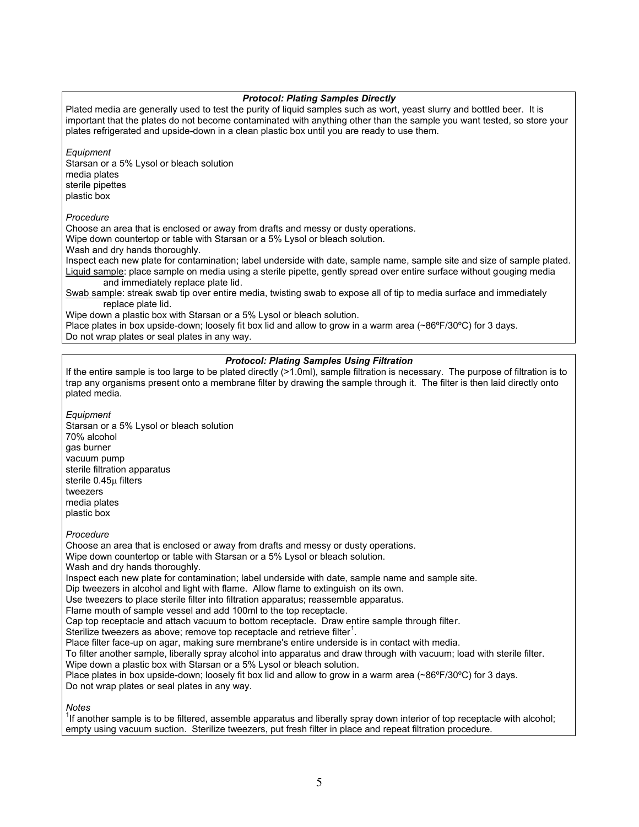#### *Protocol: Plating Samples Directly*

Plated media are generally used to test the purity of liquid samples such as wort, yeast slurry and bottled beer. It is important that the plates do not become contaminated with anything other than the sample you want tested, so store your plates refrigerated and upside-down in a clean plastic box until you are ready to use them.

*Equipment*

Starsan or a 5% Lysol or bleach solution media plates sterile pipettes plastic box

*Procedure*

Choose an area that is enclosed or away from drafts and messy or dusty operations.

Wipe down countertop or table with Starsan or a 5% Lysol or bleach solution.

Wash and dry hands thoroughly.

Inspect each new plate for contamination; label underside with date, sample name, sample site and size of sample plated. Liquid sample: place sample on media using a sterile pipette, gently spread over entire surface without gouging media and immediately replace plate lid.

Swab sample: streak swab tip over entire media, twisting swab to expose all of tip to media surface and immediately replace plate lid.

Wipe down a plastic box with Starsan or a 5% Lysol or bleach solution.

Place plates in box upside-down; loosely fit box lid and allow to grow in a warm area (~86°F/30°C) for 3 days. Do not wrap plates or seal plates in any way.

#### *Protocol: Plating Samples Using Filtration*

If the entire sample is too large to be plated directly (>1.0ml), sample filtration is necessary. The purpose of filtration is to trap any organisms present onto a membrane filter by drawing the sample through it. The filter is then laid directly onto plated media.

*Equipment* Starsan or a 5% Lysol or bleach solution 70% alcohol gas burner vacuum pump sterile filtration apparatus sterile 0.45u filters tweezers media plates plastic box

*Procedure*

Choose an area that is enclosed or away from drafts and messy or dusty operations. Wipe down countertop or table with Starsan or a 5% Lysol or bleach solution. Wash and dry hands thoroughly. Inspect each new plate for contamination; label underside with date, sample name and sample site. Dip tweezers in alcohol and light with flame. Allow flame to extinguish on its own. Use tweezers to place sterile filter into filtration apparatus; reassemble apparatus. Flame mouth of sample vessel and add 100ml to the top receptacle. Cap top receptacle and attach vacuum to bottom receptacle. Draw entire sample through filter. Sterilize tweezers as above; remove top receptacle and retrieve filter $^1$ . Place filter face-up on agar, making sure membrane's entire underside is in contact with media. To filter another sample, liberally spray alcohol into apparatus and draw through with vacuum; load with sterile filter. Wipe down a plastic box with Starsan or a 5% Lysol or bleach solution. Place plates in box upside-down; loosely fit box lid and allow to grow in a warm area (~86°F/30°C) for 3 days. Do not wrap plates or seal plates in any way.

*Notes*

<sup>1</sup>If another sample is to be filtered, assemble apparatus and liberally spray down interior of top receptacle with alcohol; empty using vacuum suction. Sterilize tweezers, put fresh filter in place and repeat filtration procedure.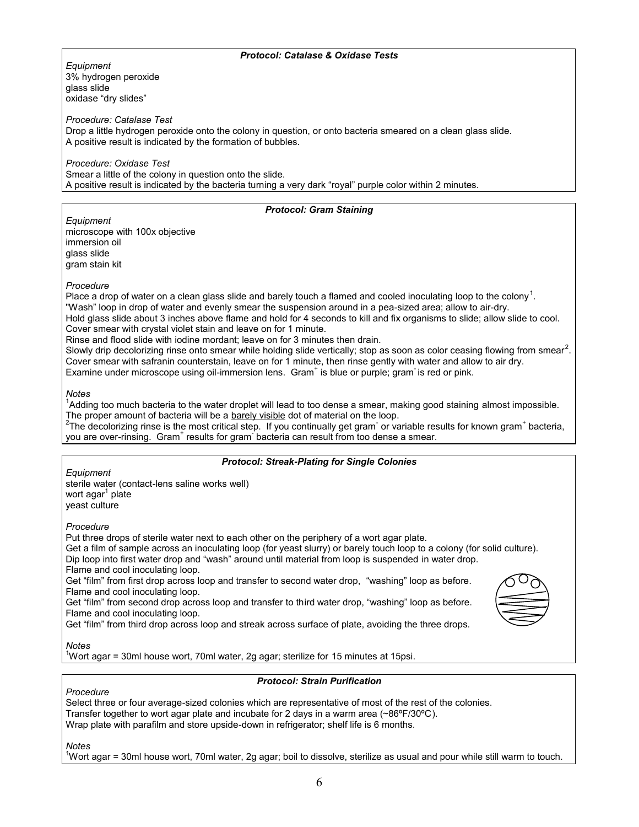#### *Protocol: Catalase & Oxidase Tests*

*Equipment* 3% hydrogen peroxide glass slide oxidase "dry slides"

*Procedure: Catalase Test*

Drop a little hydrogen peroxide onto the colony in question, or onto bacteria smeared on a clean glass slide. A positive result is indicated by the formation of bubbles.

*Procedure: Oxidase Test* Smear a little of the colony in question onto the slide. A positive result is indicated by the bacteria turning a very dark "royal" purple color within 2 minutes.

#### *Protocol: Gram Staining*

*Equipment* microscope with 100x objective immersion oil glass slide gram stain kit

*Procedure*

Place a drop of water on a clean glass slide and barely touch a flamed and cooled inoculating loop to the colony<sup>1</sup>. "Wash" loop in drop of water and evenly smear the suspension around in a pea-sized area; allow to air-dry. Hold glass slide about 3 inches above flame and hold for 4 seconds to kill and fix organisms to slide; allow slide to cool. Cover smear with crystal violet stain and leave on for 1 minute.

Rinse and flood slide with iodine mordant; leave on for 3 minutes then drain.

Slowly drip decolorizing rinse onto smear while holding slide vertically; stop as soon as color ceasing flowing from smear<sup>2</sup>. Cover smear with safranin counterstain, leave on for 1 minute, then rinse gently with water and allow to air dry. Examine under microscope using oil-immersion lens. Gram<sup>+</sup> is blue or purple; gram is red or pink.

*Notes*

<sup>1</sup>Adding too much bacteria to the water droplet will lead to too dense a smear, making good staining almost impossible. The proper amount of bacteria will be a barely visible dot of material on the loop.

<sup>2</sup>The decolorizing rinse is the most critical step. If you continually get gram or variable results for known gram<sup>+</sup> bacteria, you are over-rinsing. Gram<sup>+</sup> results for gram<sup>-</sup> bacteria can result from too dense a smear.

#### *Protocol: Streak-Plating for Single Colonies*

*Equipment*

sterile water (contact-lens saline works well) wort agar<sup>1</sup> plate yeast culture

*Procedure*

Put three drops of sterile water next to each other on the periphery of a wort agar plate.

Get a film of sample across an inoculating loop (for yeast slurry) or barely touch loop to a colony (for solid culture). Dip loop into first water drop and "wash" around until material from loop is suspended in water drop.

Flame and cool inoculating loop.

Get "film" from first drop across loop and transfer to second water drop, "washing" loop as before. Flame and cool inoculating loop.

Get "film" from second drop across loop and transfer to third water drop, "washing" loop as before. Flame and cool inoculating loop.





*Notes*

<sup>1</sup>Wort agar = 30ml house wort, 70ml water, 2g agar; sterilize for 15 minutes at 15psi.

#### *Protocol: Strain Purification*

*Procedure*

Select three or four average-sized colonies which are representative of most of the rest of the colonies. Transfer together to wort agar plate and incubate for 2 days in a warm area ( $\sim86^{\circ}F/30^{\circ}C$ ). Wrap plate with parafilm and store upside-down in refrigerator; shelf life is 6 months.

*Notes*

<sup>1</sup>Wort agar = 30ml house wort, 70ml water, 2g agar; boil to dissolve, sterilize as usual and pour while still warm to touch.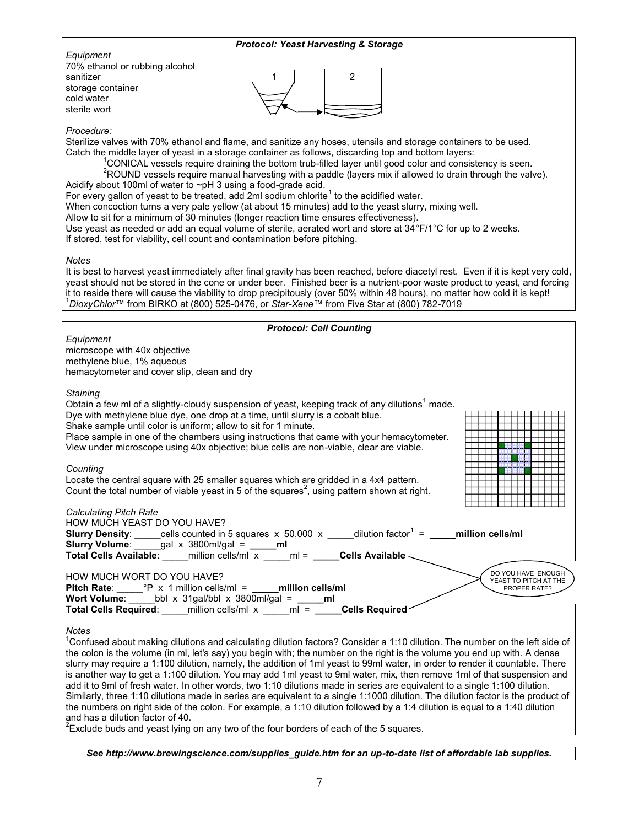| <b>Protocol: Yeast Harvesting &amp; Storage</b>                                                                                                                                                                                                                                                                                                                                                                                                                                                                                                                                                                                                                                                                                                                                                                                                                                                                                                                                                                                                                                   |  |  |  |  |  |  |
|-----------------------------------------------------------------------------------------------------------------------------------------------------------------------------------------------------------------------------------------------------------------------------------------------------------------------------------------------------------------------------------------------------------------------------------------------------------------------------------------------------------------------------------------------------------------------------------------------------------------------------------------------------------------------------------------------------------------------------------------------------------------------------------------------------------------------------------------------------------------------------------------------------------------------------------------------------------------------------------------------------------------------------------------------------------------------------------|--|--|--|--|--|--|
| Equipment<br>70% ethanol or rubbing alcohol<br>sanitizer<br>storage container<br>cold water<br>sterile wort                                                                                                                                                                                                                                                                                                                                                                                                                                                                                                                                                                                                                                                                                                                                                                                                                                                                                                                                                                       |  |  |  |  |  |  |
| Procedure:<br>Sterilize valves with 70% ethanol and flame, and sanitize any hoses, utensils and storage containers to be used.<br>Catch the middle layer of yeast in a storage container as follows, discarding top and bottom layers:<br><sup>1</sup> CONICAL vessels require draining the bottom trub-filled layer until good color and consistency is seen.<br><sup>2</sup> ROUND vessels require manual harvesting with a paddle (layers mix if allowed to drain through the valve).<br>Acidify about 100ml of water to ~pH 3 using a food-grade acid.<br>For every gallon of yeast to be treated, add 2ml sodium chlorite <sup>1</sup> to the acidified water.<br>When concoction turns a very pale yellow (at about 15 minutes) add to the yeast slurry, mixing well.<br>Allow to sit for a minimum of 30 minutes (longer reaction time ensures effectiveness).<br>Use yeast as needed or add an equal volume of sterile, aerated wort and store at 34°F/1°C for up to 2 weeks.<br>If stored, test for viability, cell count and contamination before pitching.             |  |  |  |  |  |  |
| Notes<br>It is best to harvest yeast immediately after final gravity has been reached, before diacetyl rest. Even if it is kept very cold,<br>yeast should not be stored in the cone or under beer. Finished beer is a nutrient-poor waste product to yeast, and forcing<br>it to reside there will cause the viability to drop precipitously (over 50% within 48 hours), no matter how cold it is kept!<br><sup>1</sup> DioxyChlor™ from BIRKO at (800) 525-0476, or Star-Xene™ from Five Star at (800) 782-7019                                                                                                                                                                                                                                                                                                                                                                                                                                                                                                                                                                 |  |  |  |  |  |  |
| <b>Protocol: Cell Counting</b>                                                                                                                                                                                                                                                                                                                                                                                                                                                                                                                                                                                                                                                                                                                                                                                                                                                                                                                                                                                                                                                    |  |  |  |  |  |  |
| Equipment<br>microscope with 40x objective<br>methylene blue, 1% aqueous<br>hemacytometer and cover slip, clean and dry                                                                                                                                                                                                                                                                                                                                                                                                                                                                                                                                                                                                                                                                                                                                                                                                                                                                                                                                                           |  |  |  |  |  |  |
| Staining<br>Obtain a few ml of a slightly-cloudy suspension of yeast, keeping track of any dilutions <sup>1</sup> made.<br>Dye with methylene blue dye, one drop at a time, until slurry is a cobalt blue.<br>Shake sample until color is uniform; allow to sit for 1 minute.<br>Place sample in one of the chambers using instructions that came with your hemacytometer.<br>View under microscope using 40x objective; blue cells are non-viable, clear are viable.                                                                                                                                                                                                                                                                                                                                                                                                                                                                                                                                                                                                             |  |  |  |  |  |  |
| Counting<br>Locate the central square with 25 smaller squares which are gridded in a 4x4 pattern.<br>Count the total number of viable yeast in 5 of the squares <sup>2</sup> , using pattern shown at right.<br><b>THE REPORT OF PROPERTY</b>                                                                                                                                                                                                                                                                                                                                                                                                                                                                                                                                                                                                                                                                                                                                                                                                                                     |  |  |  |  |  |  |
| <b>Calculating Pitch Rate</b><br>HOW MUCH YEAST DO YOU HAVE?<br><b>Slurry Density</b> : _____cells counted in 5 squares $x$ 50,000 $x$ ____dilution factor <sup>1</sup> = ____million cells/ml<br>Slurry Volume: $\frac{1}{\sqrt{1-\frac{1}{\sqrt{1-\frac{1}{\sqrt{1-\frac{1}{\sqrt{1-\frac{1}{\sqrt{1-\frac{1}{\sqrt{1-\frac{1}{\sqrt{1-\frac{1}{\sqrt{1-\frac{1}{\sqrt{1-\frac{1}{\sqrt{1-\frac{1}{\sqrt{1-\frac{1}{\sqrt{1-\frac{1}{\sqrt{1-\frac{1}{\sqrt{1-\frac{1}{\sqrt{1-\frac{1}{\sqrt{1-\frac{1}{\sqrt{1-\frac{1}{\sqrt{1-\frac{1}{\sqrt{1-\frac{1}{\sqrt{1-\frac{1}{\sqrt{1-\frac{1}{\sqrt{1-\frac{1}{\sqrt$<br>Total Cells Available: _____ million cells/ml x _____ ml = _____Cells Available _                                                                                                                                                                                                                                                                                                                                                                      |  |  |  |  |  |  |
| DO YOU HAVE ENOUGH<br>HOW MUCH WORT DO YOU HAVE?<br>YEAST TO PITCH AT THE<br>Pitch Rate: $P \times 1$ million cells/ml = ______ million cells/ml<br>PROPER RATE?<br>Wort Volume: bbl x 31gal/bbl x 3800ml/gal = $\qquad$ ml<br>Total Cells Required: _____ million cells/ml x _____ ml = _____Cells Required                                                                                                                                                                                                                                                                                                                                                                                                                                                                                                                                                                                                                                                                                                                                                                      |  |  |  |  |  |  |
| <b>Notes</b><br><sup>1</sup> Confused about making dilutions and calculating dilution factors? Consider a 1:10 dilution. The number on the left side of<br>the colon is the volume (in ml, let's say) you begin with; the number on the right is the volume you end up with. A dense<br>slurry may require a 1:100 dilution, namely, the addition of 1ml yeast to 99ml water, in order to render it countable. There<br>is another way to get a 1:100 dilution. You may add 1ml yeast to 9ml water, mix, then remove 1ml of that suspension and<br>add it to 9ml of fresh water. In other words, two 1:10 dilutions made in series are equivalent to a single 1:100 dilution.<br>Similarly, three 1:10 dilutions made in series are equivalent to a single 1:1000 dilution. The dilution factor is the product of<br>the numbers on right side of the colon. For example, a 1:10 dilution followed by a 1:4 dilution is equal to a 1:40 dilution<br>and has a dilution factor of 40.<br>$2$ Exclude buds and yeast lying on any two of the four borders of each of the 5 squares. |  |  |  |  |  |  |

*See http://www.brewingscience.com/supplies\_guide.htm for an up-to-date list of affordable lab supplies.*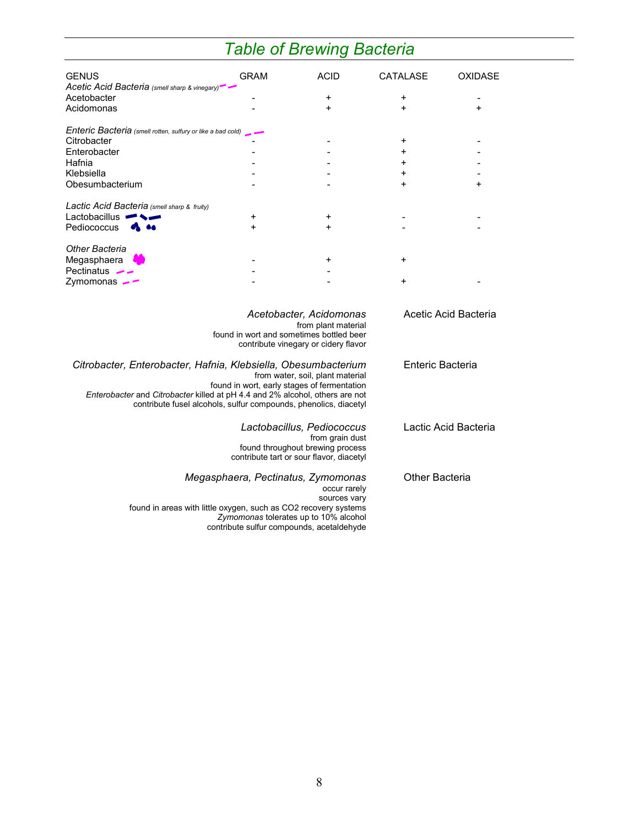# *Table of Brewing Bacteria*

| <b>GENUS</b>                                                                 | <b>GRAM</b>             | <b>ACID</b>                                                                     | <b>CATALASE</b>       | <b>OXIDASE</b> |  |
|------------------------------------------------------------------------------|-------------------------|---------------------------------------------------------------------------------|-----------------------|----------------|--|
| Acetic Acid Bacteria (smell sharp & vinegary) -<br>Acetobacter               |                         | +                                                                               | +                     |                |  |
| Acidomonas                                                                   |                         | $\ddot{}$                                                                       | $\ddot{}$             | $\ddot{}$      |  |
|                                                                              |                         |                                                                                 |                       |                |  |
| Enteric Bacteria (smell rotten, sulfury or like a bad cold)                  |                         |                                                                                 |                       |                |  |
| Citrobacter                                                                  |                         |                                                                                 | +                     |                |  |
| Enterobacter                                                                 |                         |                                                                                 | +                     |                |  |
| Hafnia                                                                       |                         |                                                                                 | +                     |                |  |
| Klebsiella                                                                   |                         |                                                                                 | +                     |                |  |
| Obesumbacterium                                                              |                         |                                                                                 | $\ddot{}$             | $\ddot{}$      |  |
| Lactic Acid Bacteria (smell sharp & fruity)                                  |                         |                                                                                 |                       |                |  |
| Lactobacillus $\blacksquare$                                                 | +                       | +                                                                               |                       |                |  |
| Pediococcus                                                                  | +                       | $\ddot{}$                                                                       |                       |                |  |
|                                                                              |                         |                                                                                 |                       |                |  |
| <b>Other Bacteria</b>                                                        |                         |                                                                                 |                       |                |  |
| Megasphaera                                                                  |                         | +                                                                               | +                     |                |  |
| Pectinatus $\rightarrow$                                                     |                         |                                                                                 | +                     |                |  |
| Zymomonas $-$                                                                |                         |                                                                                 |                       |                |  |
|                                                                              | Acetobacter, Acidomonas |                                                                                 | Acetic Acid Bacteria  |                |  |
|                                                                              |                         | from plant material                                                             |                       |                |  |
| found in wort and sometimes bottled beer                                     |                         |                                                                                 |                       |                |  |
|                                                                              |                         | contribute vinegary or cidery flavor                                            |                       |                |  |
| Citrobacter, Enterobacter, Hafnia, Klebsiella, Obesumbacterium               | Enteric Bacteria        |                                                                                 |                       |                |  |
|                                                                              |                         | from water, soil, plant material<br>found in wort, early stages of fermentation |                       |                |  |
| Enterobacter and Citrobacter killed at pH 4.4 and 2% alcohol, others are not |                         |                                                                                 |                       |                |  |
| contribute fusel alcohols, sulfur compounds, phenolics, diacetyl             |                         |                                                                                 |                       |                |  |
|                                                                              |                         | Lactobacillus, Pediococcus                                                      |                       |                |  |
|                                                                              | Lactic Acid Bacteria    |                                                                                 |                       |                |  |
|                                                                              |                         | from grain dust<br>found throughout brewing process                             |                       |                |  |
|                                                                              |                         | contribute tart or sour flavor, diacetyl                                        |                       |                |  |
|                                                                              |                         | Megasphaera, Pectinatus, Zymomonas                                              | <b>Other Bacteria</b> |                |  |
|                                                                              |                         |                                                                                 |                       |                |  |
|                                                                              |                         | occur rarely<br>sources vary                                                    |                       |                |  |
| found in areas with little oxygen, such as CO2 recovery systems              |                         |                                                                                 |                       |                |  |
|                                                                              |                         | Zymomonas tolerates up to 10% alcohol                                           |                       |                |  |
|                                                                              |                         | contribute sulfur compounds, acetaldehyde                                       |                       |                |  |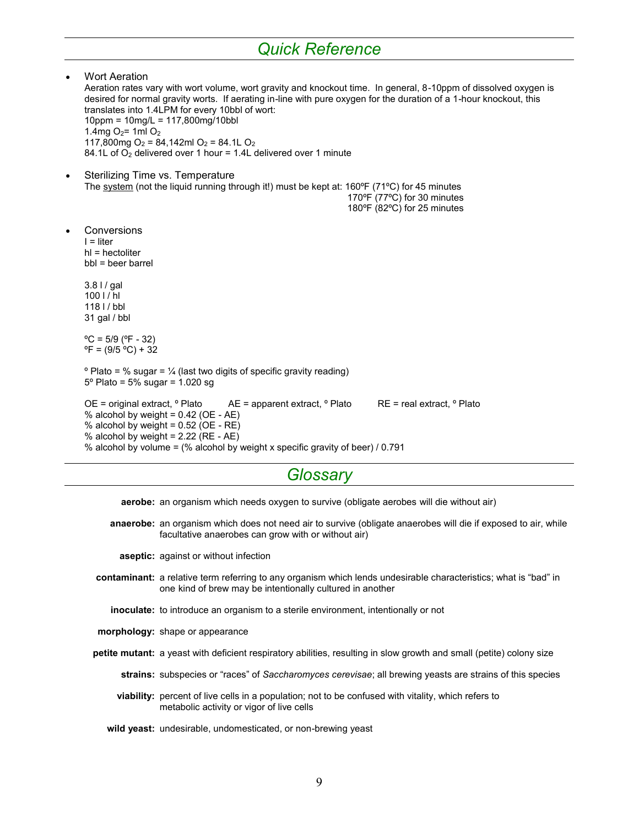# *Quick Reference*

 Wort Aeration Aeration rates vary with wort volume, wort gravity and knockout time. In general, 8-10ppm of dissolved oxygen is desired for normal gravity worts. If aerating in-line with pure oxygen for the duration of a 1-hour knockout, this translates into 1.4LPM for every 10bbl of wort: 10ppm = 10mg/L = 117,800mg/10bbl 1.4mg  $O_2$ = 1ml  $O_2$ 117,800mg O<sub>2</sub> = 84,142ml O<sub>2</sub> = 84.1L O<sub>2</sub> 84.1L of  $O_2$  delivered over 1 hour = 1.4L delivered over 1 minute Sterilizing Time vs. Temperature The system (not the liquid running through it!) must be kept at: 160°F (71°C) for 45 minutes 170ºF (77ºC) for 30 minutes 180ºF (82ºC) for 25 minutes Conversions  $I =$  liter hl = hectoliter bbl = beer barrel 3.8 l / gal  $100$  l / hl 118 l / bbl 31 gal / bbl  $°C = 5/9$  (°F - 32)  ${}^{\circ}$ F = (9/5  ${}^{\circ}$ C) + 32  $\degree$  Plato = % sugar =  $\frac{1}{4}$  (last two digits of specific gravity reading) 5º Plato = 5% sugar = 1.020 sg OE = original extract, º Plato AE = apparent extract, º Plato RE = real extract, º Plato % alcohol by weight =  $0.42$  (OE - AE) % alcohol by weight =  $0.52$  (OE - RE) % alcohol by weight =  $2.22$  (RE - AE) % alcohol by volume = (% alcohol by weight x specific gravity of beer) / 0.791

### *Glossary*

**aerobe:** an organism which needs oxygen to survive (obligate aerobes will die without air)

**anaerobe:** an organism which does not need air to survive (obligate anaerobes will die if exposed to air, while facultative anaerobes can grow with or without air)

**aseptic:** against or without infection

- **contaminant:** a relative term referring to any organism which lends undesirable characteristics; what is "bad" in one kind of brew may be intentionally cultured in another
	- **inoculate:** to introduce an organism to a sterile environment, intentionally or not
- **morphology:** shape or appearance

**petite mutant:** a yeast with deficient respiratory abilities, resulting in slow growth and small (petite) colony size

**strains:** subspecies or "races" of *Saccharomyces cerevisae*; all brewing yeasts are strains of this species

**viability:** percent of live cells in a population; not to be confused with vitality, which refers to metabolic activity or vigor of live cells

**wild yeast:** undesirable, undomesticated, or non-brewing yeast